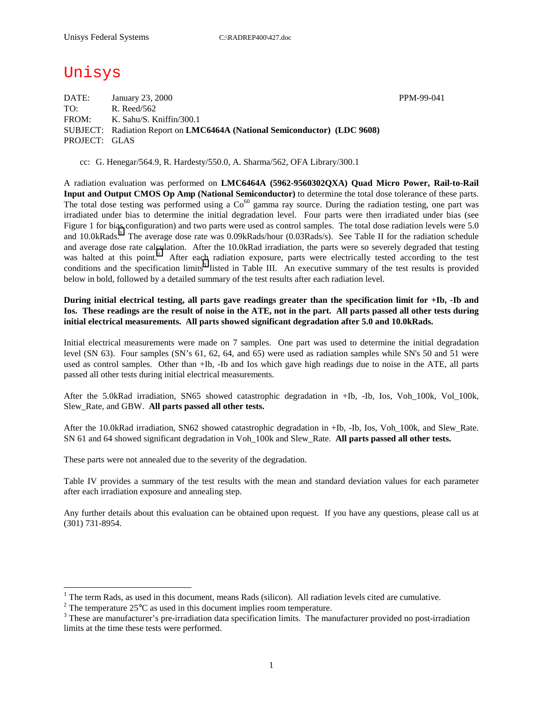# Unisys

 $\overline{a}$ 

DATE: January 23, 2000 PPM-99-041 TO: R. Reed/562 FROM: K. Sahu/S. Kniffin/300.1 SUBJECT: Radiation Report on **LMC6464A (National Semiconductor) (LDC 9608)** PROJECT: GLAS

cc: G. Henegar/564.9, R. Hardesty/550.0, A. Sharma/562, OFA Library/300.1

A radiation evaluation was performed on **LMC6464A (5962-9560302QXA) Quad Micro Power, Rail-to-Rail Input and Output CMOS Op Amp (National Semiconductor)** to determine the total dose tolerance of these parts. The total dose testing was performed using a  $Co^{60}$  gamma ray source. During the radiation testing, one part was irradiated under bias to determine the initial degradation level. Four parts were then irradiated under bias (see Figure 1 for bias configuration) and two parts were used as control samples. The total dose radiation levels were 5.0 and 10.0kRads.<sup>1</sup> The average dose rate was 0.09kRads/hour (0.03Rads/s). See Table II for the radiation schedule and average dose rate calculation. After the 10.0kRad irradiation, the parts were so severely degraded that testing was halted at this point.<sup>2</sup> After each radiation exposure, parts were electrically tested according to the test conditions and the specification limits<sup>3</sup> listed in Table III. An executive summary of the test results is provided below in bold, followed by a detailed summary of the test results after each radiation level.

**During initial electrical testing, all parts gave readings greater than the specification limit for +Ib, -Ib and Ios. These readings are the result of noise in the ATE, not in the part. All parts passed all other tests during initial electrical measurements. All parts showed significant degradation after 5.0 and 10.0kRads.** 

Initial electrical measurements were made on 7 samples. One part was used to determine the initial degradation level (SN 63). Four samples (SN's 61, 62, 64, and 65) were used as radiation samples while SN's 50 and 51 were used as control samples. Other than +Ib, -Ib and Ios which gave high readings due to noise in the ATE, all parts passed all other tests during initial electrical measurements.

After the 5.0kRad irradiation, SN65 showed catastrophic degradation in +Ib, -Ib, Ios, Voh\_100k, Vol\_100k, Slew\_Rate, and GBW. **All parts passed all other tests.**

After the 10.0kRad irradiation, SN62 showed catastrophic degradation in +Ib, -Ib, Ios, Voh 100k, and Slew Rate. SN 61 and 64 showed significant degradation in Voh\_100k and Slew\_Rate. **All parts passed all other tests.**

These parts were not annealed due to the severity of the degradation.

Table IV provides a summary of the test results with the mean and standard deviation values for each parameter after each irradiation exposure and annealing step.

Any further details about this evaluation can be obtained upon request. If you have any questions, please call us at (301) 731-8954.

<sup>&</sup>lt;sup>1</sup> The term Rads, as used in this document, means Rads (silicon). All radiation levels cited are cumulative.

<sup>&</sup>lt;sup>2</sup> The temperature 25 $^{\circ}$ C as used in this document implies room temperature.  $^3$  These are manufacturer's are irrediction date apositionism limits. The manufacturer's

<sup>&</sup>lt;sup>3</sup> These are manufacturer's pre-irradiation data specification limits. The manufacturer provided no post-irradiation limits at the time these tests were performed.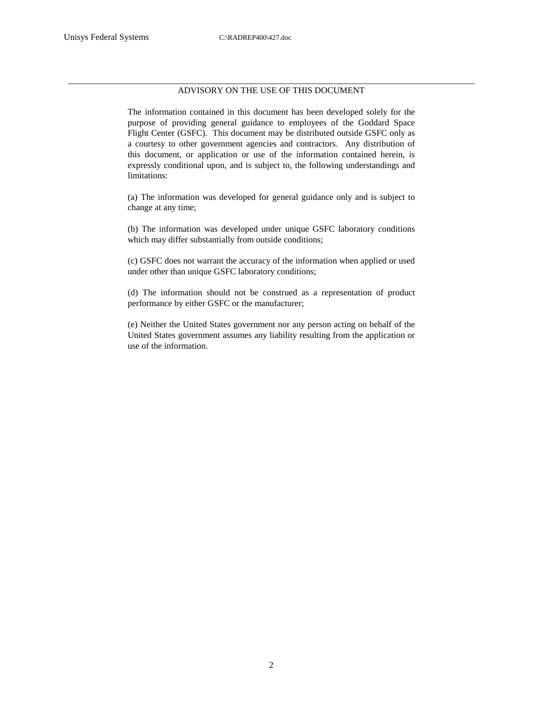#### \_\_\_\_\_\_\_\_\_\_\_\_\_\_\_\_\_\_\_\_\_\_\_\_\_\_\_\_\_\_\_\_\_\_\_\_\_\_\_\_\_\_\_\_\_\_\_\_\_\_\_\_\_\_\_\_\_\_\_\_\_\_\_\_\_\_\_\_\_\_\_\_\_\_\_\_\_\_\_\_\_\_\_\_\_\_\_\_\_\_\_ ADVISORY ON THE USE OF THIS DOCUMENT

The information contained in this document has been developed solely for the purpose of providing general guidance to employees of the Goddard Space Flight Center (GSFC). This document may be distributed outside GSFC only as a courtesy to other government agencies and contractors. Any distribution of this document, or application or use of the information contained herein, is expressly conditional upon, and is subject to, the following understandings and limitations:

(a) The information was developed for general guidance only and is subject to change at any time;

(b) The information was developed under unique GSFC laboratory conditions which may differ substantially from outside conditions;

(c) GSFC does not warrant the accuracy of the information when applied or used under other than unique GSFC laboratory conditions;

(d) The information should not be construed as a representation of product performance by either GSFC or the manufacturer;

(e) Neither the United States government nor any person acting on behalf of the United States government assumes any liability resulting from the application or use of the information.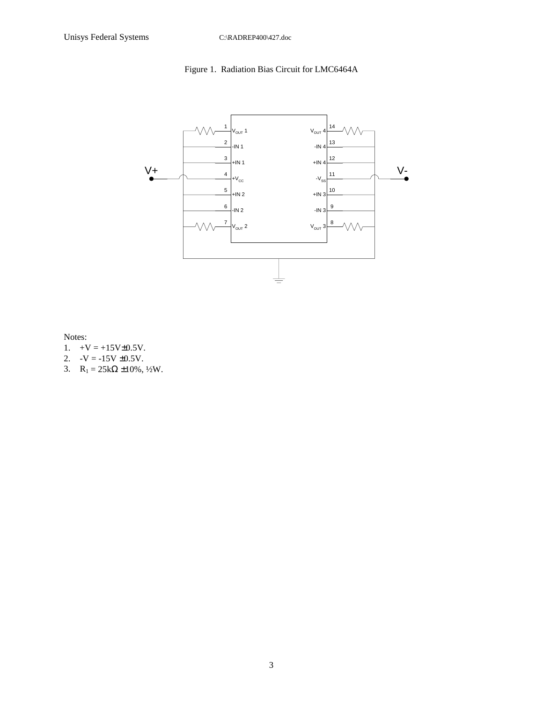## Figure 1. Radiation Bias Circuit for LMC6464A



Notes:

- 1.  $+V = +15V \pm 0.5V$ .
- 2.  $-V = -15V \pm 0.5V$ .
- 3.  $R_1 = 25k\Omega \pm 10\%, \frac{1}{2}W$ .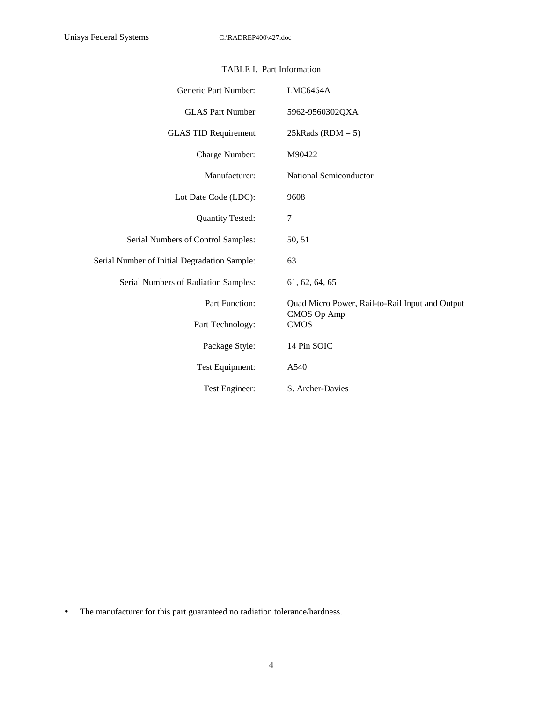| Generic Part Number:                         | LMC6464A                                        |
|----------------------------------------------|-------------------------------------------------|
| <b>GLAS Part Number</b>                      | 5962-9560302QXA                                 |
| <b>GLAS TID Requirement</b>                  | $25kRads (RDM = 5)$                             |
| Charge Number:                               | M90422                                          |
| Manufacturer:                                | National Semiconductor                          |
| Lot Date Code (LDC):                         | 9608                                            |
| <b>Quantity Tested:</b>                      | 7                                               |
| Serial Numbers of Control Samples:           | 50, 51                                          |
| Serial Number of Initial Degradation Sample: | 63                                              |
| Serial Numbers of Radiation Samples:         | 61, 62, 64, 65                                  |
| Part Function:                               | Quad Micro Power, Rail-to-Rail Input and Output |
| Part Technology:                             | CMOS Op Amp<br><b>CMOS</b>                      |
| Package Style:                               | 14 Pin SOIC                                     |
| Test Equipment:                              | A540                                            |
| Test Engineer:                               | S. Archer-Davies                                |

### TABLE I. Part Information

• The manufacturer for this part guaranteed no radiation tolerance/hardness.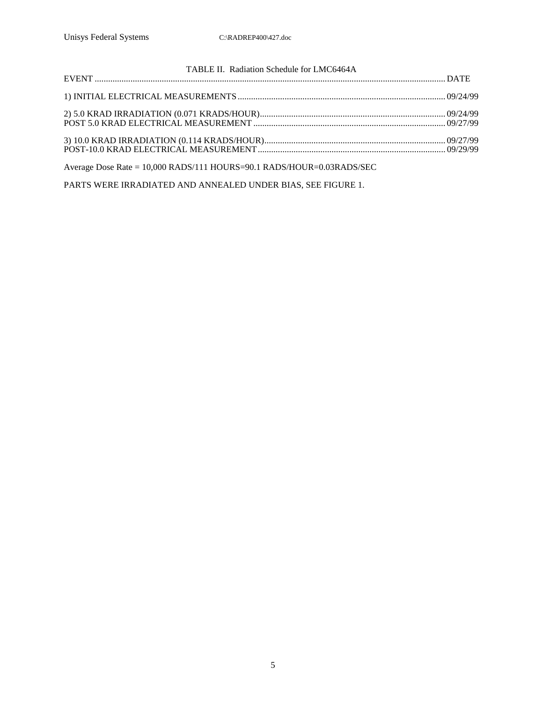| TABLE II. Radiation Schedule for LMC6464A |  |
|-------------------------------------------|--|
|                                           |  |
|                                           |  |
|                                           |  |

Average Dose Rate = 10,000 RADS/111 HOURS=90.1 RADS/HOUR=0.03RADS/SEC

PARTS WERE IRRADIATED AND ANNEALED UNDER BIAS, SEE FIGURE 1.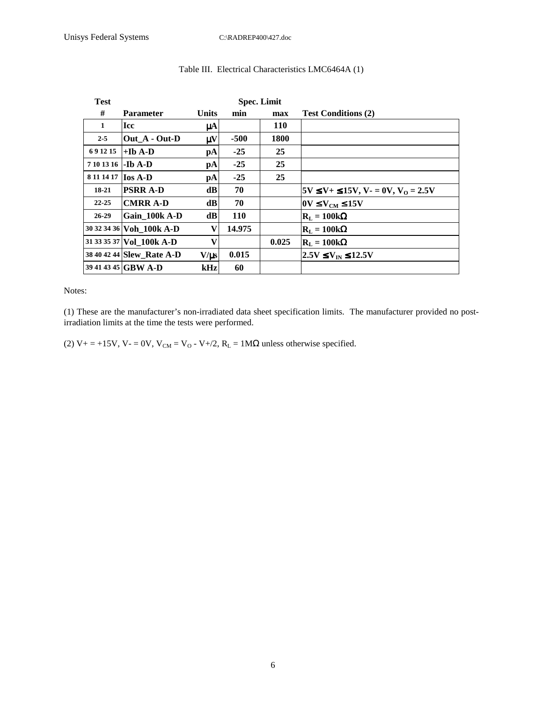| <b>Test</b> |                           |                        | <b>Spec. Limit</b> |            |                                                           |
|-------------|---------------------------|------------------------|--------------------|------------|-----------------------------------------------------------|
| #           | <b>Parameter</b>          | Units                  | min                | max        | <b>Test Conditions (2)</b>                                |
| 1           | <b>Icc</b>                | $\mu$ A                |                    | <b>110</b> |                                                           |
| $2 - 5$     | Out A - Out-D             | $\mu$ V                | $-500$             | 1800       |                                                           |
| 691215      | +Ib A-D                   | pA                     | $-25$              | 25         |                                                           |
| 7 10 13 16  | -Ib A-D                   | $\mathbf{p}\mathbf{A}$ | $-25$              | 25         |                                                           |
| 8 11 14 17  | $\log A-D$                | $\mathbf{p}\mathbf{A}$ | $-25$              | 25         |                                                           |
| 18-21       | <b>PSRR A-D</b>           | dB                     | 70                 |            | $5V \le V + \le 15V$ , V $- = 0V$ , V <sub>0</sub> = 2.5V |
| $22 - 25$   | <b>CMRR A-D</b>           | dB                     | 70                 |            | $\text{OV}$ $\leq$ $\text{V}_{\text{CM}}$ $\leq$ 15V      |
| $26 - 29$   | Gain 100k A-D             | dB                     | <b>110</b>         |            | $\mathbf{R}_{\mathrm{L}} = 100\mathrm{k}\Omega$           |
|             | 30 32 34 36 Voh 100k A-D  | V                      | 14.975             |            | $R_L = 100k\Omega$                                        |
|             | 31 33 35 37 Vol 100k A-D  | V                      |                    | 0.025      | $\mathbf{R}_{\mathrm{I}} = 100\mathrm{k}\Omega$           |
|             | 38 40 42 44 Slew_Rate A-D | $V/\mu s$              | 0.015              |            | $2.5V \le V_{\text{IN}} \le 12.5V$                        |
|             | 39 41 43 45 GBW A-D       | kHz                    | 60                 |            |                                                           |

### Table III. Electrical Characteristics LMC6464A (1)

Notes:

(1) These are the manufacturer's non-irradiated data sheet specification limits. The manufacturer provided no postirradiation limits at the time the tests were performed.

(2)  $V_+ = +15V$ ,  $V_0 = 0V$ ,  $V_{CM} = V_0 - V_0/2$ ,  $R_L = 1M\Omega$  unless otherwise specified.